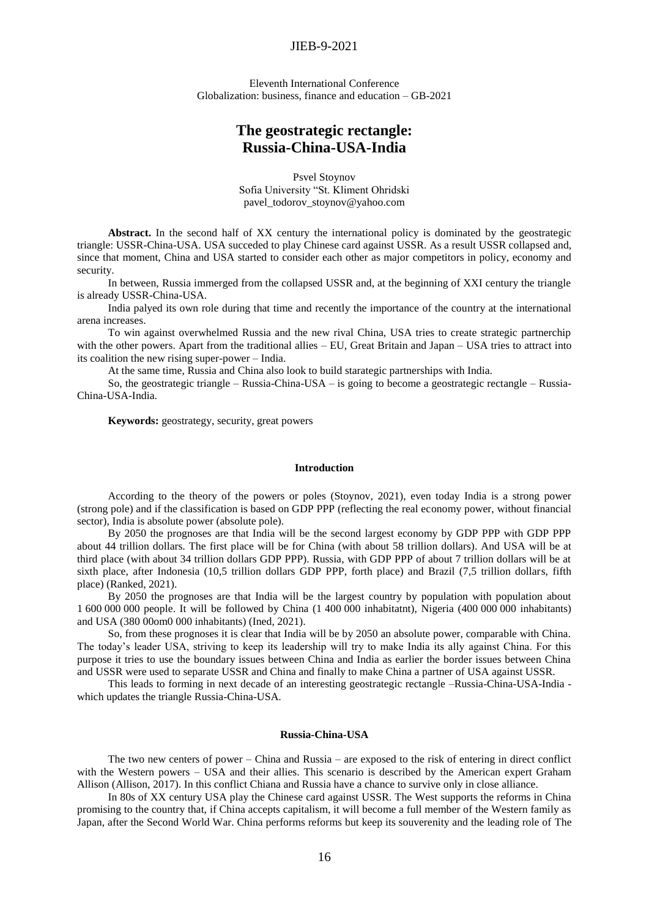## JIEB-9-2021

Еleventh International Conference Globalization: business, finance and education – GB-2021

# **The geostrategic rectangle: Russia-China-USA-India**

Psvel Stoynov Sofia University "St. Kliment Ohridski pavel\_todorov\_stoynov@yahoo.com

**Abstract.** In the second half of XX century the international policy is dominated by the geostrategic triangle: USSR-China-USA. USA succeded to play Chinese card against USSR. As a result USSR collapsed and, since that moment, China and USA started to consider each other as major competitors in policy, economy and security.

In between, Russia immerged from the collapsed USSR and, at the beginning of XXI century the triangle is already USSR-China-USA.

India palyed its own role during that time and recently the importance of the country at the international arena increases.

To win against overwhelmed Russia and the new rival China, USA tries to create strategic partnerchip with the other powers. Apart from the traditional allies – EU, Great Britain and Japan – USA tries to attract into its coalition the new rising super-power – India.

At the same time, Russia and China also look to build starategic partnerships with India.

So, the geostrategic triangle – Russia-China-USA – is going to become a geostrategic rectangle – Russia-China-USA-India.

**Keywords:** geostrategy, security, great powers

#### **Introduction**

According to the theory of the powers or poles (Stoynov, 2021), even today India is a strong power (strong pole) and if the classification is based on GDP PPP (reflecting the real economy power, without financial sector), India is absolute power (absolute pole).

By 2050 the prognoses are that India will be the second largest economy by GDP PPP with GDP PPP about 44 trillion dollars. The first place will be for China (with about 58 trillion dollars). And USA will be at third place (with about 34 trillion dollars GDP PPP). Russia, with GDP PPP of about 7 trillion dollars will be at sixth place, after Indonesia (10,5 trillion dollars GDP PPP, forth place) and Brazil (7,5 trillion dollars, fifth place) (Ranked, 2021).

By 2050 the prognoses are that India will be the largest country by population with population about 1 600 000 000 people. It will be followed by China (1 400 000 inhabitatnt), Nigeria (400 000 000 inhabitants) and USA (380 00om0 000 inhabitants) (Ined, 2021).

So, from these prognoses it is clear that India will be by 2050 an absolute power, comparable with China. The today's leader USA, striving to keep its leadership will try to make India its ally against China. For this purpose it tries to use the boundary issues between China and India as earlier the border issues between China and USSR were used to separate USSR and China and finally to make China a partner of USA against USSR.

This leads to forming in next decade of an interesting geostrategic rectangle –Russia-China-USA-India which updates the triangle Russia-China-USA.

## **Russia-China-USA**

The two new centers of power – China and Russia – are exposed to the risk of entering in direct conflict with the Western powers – USA and their allies. This scenario is described by the American expert Graham Allison (Allison, 2017). In this conflict Chiana and Russia have a chance to survive only in close alliance.

In 80s of XX century USA play the Chinese card against USSR. The West supports the reforms in China promising to the country that, if China accepts capitalism, it will become a full member of the Western family as Japan, after the Second World War. China performs reforms but keep its souverenity and the leading role of The